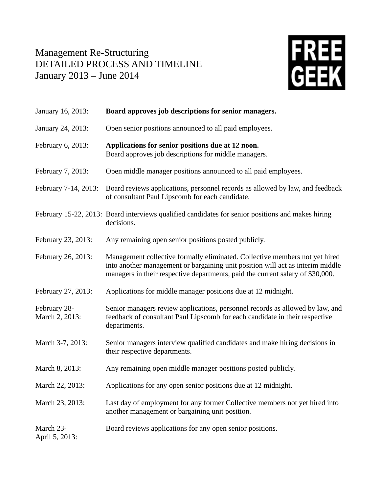## Management Re-Structuring DETAILED PROCESS AND TIMELINE January 2013 – June 2014



| January 16, 2013:              | Board approves job descriptions for senior managers.                                                                                                                                                                                            |
|--------------------------------|-------------------------------------------------------------------------------------------------------------------------------------------------------------------------------------------------------------------------------------------------|
| January 24, 2013:              | Open senior positions announced to all paid employees.                                                                                                                                                                                          |
| February 6, 2013:              | Applications for senior positions due at 12 noon.<br>Board approves job descriptions for middle managers.                                                                                                                                       |
| February 7, 2013:              | Open middle manager positions announced to all paid employees.                                                                                                                                                                                  |
| February 7-14, 2013:           | Board reviews applications, personnel records as allowed by law, and feedback<br>of consultant Paul Lipscomb for each candidate.                                                                                                                |
|                                | February 15-22, 2013: Board interviews qualified candidates for senior positions and makes hiring<br>decisions.                                                                                                                                 |
| February 23, 2013:             | Any remaining open senior positions posted publicly.                                                                                                                                                                                            |
| February 26, 2013:             | Management collective formally eliminated. Collective members not yet hired<br>into another management or bargaining unit position will act as interim middle<br>managers in their respective departments, paid the current salary of \$30,000. |
| February 27, 2013:             | Applications for middle manager positions due at 12 midnight.                                                                                                                                                                                   |
| February 28-<br>March 2, 2013: | Senior managers review applications, personnel records as allowed by law, and<br>feedback of consultant Paul Lipscomb for each candidate in their respective<br>departments.                                                                    |
| March 3-7, 2013:               | Senior managers interview qualified candidates and make hiring decisions in<br>their respective departments.                                                                                                                                    |
| March 8, 2013:                 | Any remaining open middle manager positions posted publicly.                                                                                                                                                                                    |
| March 22, 2013:                | Applications for any open senior positions due at 12 midnight.                                                                                                                                                                                  |
| March 23, 2013:                | Last day of employment for any former Collective members not yet hired into<br>another management or bargaining unit position.                                                                                                                  |
| March 23-<br>April 5, 2013:    | Board reviews applications for any open senior positions.                                                                                                                                                                                       |